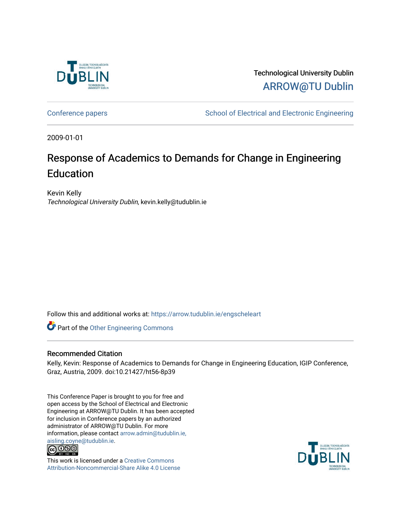

Technological University Dublin [ARROW@TU Dublin](https://arrow.tudublin.ie/) 

[Conference papers](https://arrow.tudublin.ie/engscheleart) **School of Electrical and Electronic Engineering** 

2009-01-01

# Response of Academics to Demands for Change in Engineering Education

Kevin Kelly Technological University Dublin, kevin.kelly@tudublin.ie

Follow this and additional works at: [https://arrow.tudublin.ie/engscheleart](https://arrow.tudublin.ie/engscheleart?utm_source=arrow.tudublin.ie%2Fengscheleart%2F121&utm_medium=PDF&utm_campaign=PDFCoverPages) 

Part of the [Other Engineering Commons](http://network.bepress.com/hgg/discipline/315?utm_source=arrow.tudublin.ie%2Fengscheleart%2F121&utm_medium=PDF&utm_campaign=PDFCoverPages) 

# Recommended Citation

Kelly, Kevin: Response of Academics to Demands for Change in Engineering Education, IGIP Conference, Graz, Austria, 2009. doi:10.21427/ht56-8p39

This Conference Paper is brought to you for free and open access by the School of Electrical and Electronic Engineering at ARROW@TU Dublin. It has been accepted for inclusion in Conference papers by an authorized administrator of ARROW@TU Dublin. For more information, please contact [arrow.admin@tudublin.ie,](mailto:arrow.admin@tudublin.ie,%20aisling.coyne@tudublin.ie)  [aisling.coyne@tudublin.ie.](mailto:arrow.admin@tudublin.ie,%20aisling.coyne@tudublin.ie)<br>© 090



This work is licensed under a [Creative Commons](http://creativecommons.org/licenses/by-nc-sa/4.0/) [Attribution-Noncommercial-Share Alike 4.0 License](http://creativecommons.org/licenses/by-nc-sa/4.0/)

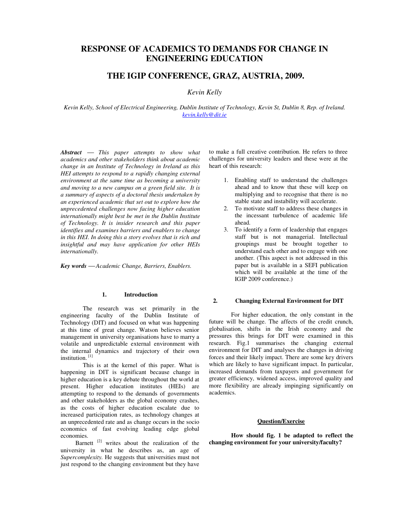# **RESPONSE OF ACADEMICS TO DEMANDS FOR CHANGE IN ENGINEERING EDUCATION**

# **THE IGIP CONFERENCE, GRAZ, AUSTRIA, 2009.**

# *Kevin Kelly*

*Kevin Kelly, School of Electrical Engineering, Dublin Institute of Technology, Kevin St, Dublin 8, Rep. of Ireland. kevin.kelly@dit.ie*

*Abstract This paper attempts to show what academics and other stakeholders think about academic change in an Institute of Technology in Ireland as this HEI attempts to respond to a rapidly changing external environment at the same time as becoming a university and moving to a new campus on a green field site. It is a summary of aspects of a doctoral thesis undertaken by an experienced academic that set out to explore how the unprecedented challenges now facing higher education internationally might best be met in the Dublin Institute of Technology. It is insider research and this paper identifies and examines barriers and enablers to change in this HEI. In doing this a story evolves that is rich and insightful and may have application for other HEIs internationally.* 

*Key words Academic Change, Barriers, Enablers.* 

## **1. Introduction**

The research was set primarily in the engineering faculty of the Dublin Institute of Technology (DIT) and focused on what was happening at this time of great change. Watson believes senior management in university organisations have to marry a volatile and unpredictable external environment with the internal dynamics and trajectory of their own institution.<sup>[1]</sup>

This is at the kernel of this paper. What is happening in DIT is significant because change in higher education is a key debate throughout the world at present. Higher education institutes (HEIs) are attempting to respond to the demands of governments and other stakeholders as the global economy crashes, as the costs of higher education escalate due to increased participation rates, as technology changes at an unprecedented rate and as change occurs in the socio economics of fast evolving leading edge global economies.

Barnett<sup>[2]</sup> writes about the realization of the university in what he describes as, an age of *Supercomplexity.* He suggests that universities must not just respond to the changing environment but they have to make a full creative contribution. He refers to three challenges for university leaders and these were at the heart of this research:

- 1. Enabling staff to understand the challenges ahead and to know that these will keep on multiplying and to recognise that there is no stable state and instability will accelerate.
- 2. To motivate staff to address these changes in the incessant turbulence of academic life ahead.
- 3. To identify a form of leadership that engages staff but is not managerial. Intellectual groupings must be brought together to understand each other and to engage with one another. (This aspect is not addressed in this paper but is available in a SEFI publication which will be available at the time of the IGIP 2009 conference.)

#### **2. Changing External Environment for DIT**

For higher education, the only constant in the future will be change. The affects of the credit crunch, globalisation, shifts in the Irish economy and the pressures this brings for DIT were examined in this research. Fig.1 summarises the changing external environment for DIT and analyses the changes in driving forces and their likely impact. There are some key drivers which are likely to have significant impact. In particular, increased demands from taxpayers and government for greater efficiency, widened access, improved quality and more flexibility are already impinging significantly on academics.

# **Question/Exercise**

**How should fig. 1 be adapted to reflect the changing environment for your university/faculty?**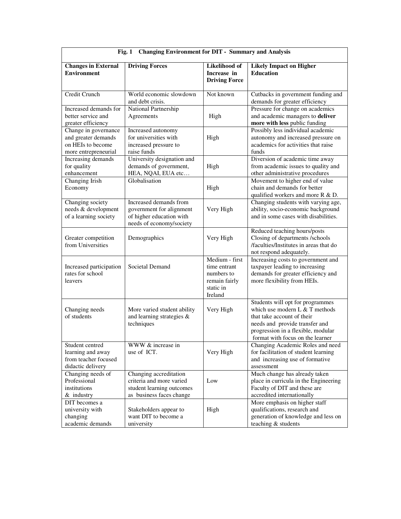| <b>Changing Environment for DIT - Summary and Analysis</b><br>Fig. 1                     |                                                                                                             |                                                                                       |                                                                                                                                                                                                              |
|------------------------------------------------------------------------------------------|-------------------------------------------------------------------------------------------------------------|---------------------------------------------------------------------------------------|--------------------------------------------------------------------------------------------------------------------------------------------------------------------------------------------------------------|
| <b>Changes in External</b><br><b>Environment</b>                                         | <b>Driving Forces</b>                                                                                       | Likelihood of<br>Increase in<br><b>Driving Force</b>                                  | <b>Likely Impact on Higher</b><br><b>Education</b>                                                                                                                                                           |
| Credit Crunch                                                                            | World economic slowdown<br>and debt crisis.                                                                 | Not known                                                                             | Cutbacks in government funding and<br>demands for greater efficiency                                                                                                                                         |
| Increased demands for<br>better service and<br>greater efficiency                        | National Partnership<br>Agreements                                                                          | High                                                                                  | Pressure for change on academics<br>and academic managers to deliver<br>more with less public funding                                                                                                        |
| Change in governance<br>and greater demands<br>on HEIs to become<br>more entrepreneurial | Increased autonomy<br>for universities with<br>increased pressure to<br>raise funds                         | High                                                                                  | Possibly less individual academic<br>autonomy and increased pressure on<br>academics for activities that raise<br>funds                                                                                      |
| Increasing demands<br>for quality<br>enhancement                                         | University designation and<br>demands of government,<br>HEA, NQAI, EUA etc                                  | High                                                                                  | Diversion of academic time away<br>from academic issues to quality and<br>other administrative procedures                                                                                                    |
| <b>Changing Irish</b><br>Economy                                                         | Globalisation                                                                                               | High                                                                                  | Movement to higher end of value<br>chain and demands for better<br>qualified workers and more R & D.                                                                                                         |
| Changing society<br>needs & development<br>of a learning society                         | Increased demands from<br>government for alignment<br>of higher education with<br>needs of economy/society  | Very High                                                                             | Changing students with varying age,<br>ability, socio-economic background<br>and in some cases with disabilities.                                                                                            |
| Greater competition<br>from Universities                                                 | Demographics                                                                                                | Very High                                                                             | Reduced teaching hours/posts<br>Closing of departments /schools<br>/faculties/Institutes in areas that do<br>not respond adequately.                                                                         |
| Increased participation<br>rates for school<br>leavers                                   | Societal Demand                                                                                             | Medium - first<br>time entrant<br>numbers to<br>remain fairly<br>static in<br>Ireland | Increasing costs to government and<br>taxpayer leading to increasing<br>demands for greater efficiency and<br>more flexibility from HEIs.                                                                    |
| Changing needs<br>of students                                                            | More varied student ability<br>and learning strategies &<br>techniques                                      | Very High                                                                             | Students will opt for programmes<br>which use modern L & T methods<br>that take account of their<br>needs and provide transfer and<br>progression in a flexible, modular<br>format with focus on the learner |
| Student centred<br>learning and away<br>from teacher focused<br>didactic delivery        | WWW & increase in<br>use of ICT.                                                                            | Very High                                                                             | Changing Academic Roles and need<br>for facilitation of student learning<br>and increasing use of formative<br>assessment                                                                                    |
| Changing needs of<br>Professional<br>institutions<br>& industry                          | Changing accreditation<br>criteria and more varied<br>student learning outcomes<br>as business faces change | Low                                                                                   | Much change has already taken<br>place in curricula in the Engineering<br>Faculty of DIT and these are<br>accredited internationally                                                                         |
| DIT becomes a<br>university with<br>changing<br>academic demands                         | Stakeholders appear to<br>want DIT to become a<br>university                                                | High                                                                                  | More emphasis on higher staff<br>qualifications, research and<br>generation of knowledge and less on<br>teaching & students                                                                                  |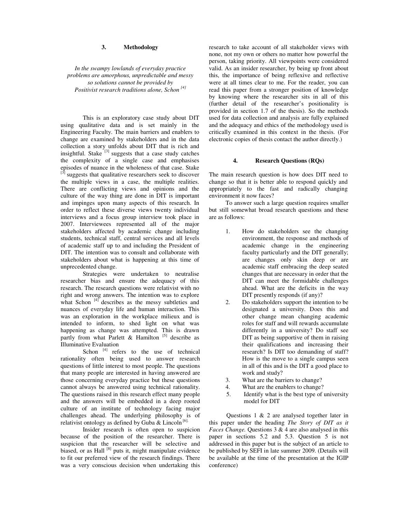#### **3. Methodology**

*In the swampy lowlands of everyday practice problems are amorphous, unpredictable and messy so solutions cannot be provided by Positivist research traditions alone, Schon [4]*

This is an exploratory case study about DIT using qualitative data and is set mainly in the Engineering Faculty. The main barriers and enablers to change are examined by stakeholders and in the data collection a story unfolds about DIT that is rich and insightful. Stake  $^{[3]}$  suggests that a case study catches the complexity of a single case and emphasises episodes of nuance in the wholeness of that case. Stake  $\left[3\right]$  suggests that qualitative researchers seek to discover the multiple views in a case, the multiple realities. There are conflicting views and opinions and the culture of the way thing are done in DIT is important and impinges upon many aspects of this research. In order to reflect these diverse views twenty individual interviews and a focus group interview took place in 2007. Interviewees represented all of the major stakeholders affected by academic change including students, technical staff, central services and all levels of academic staff up to and including the President of DIT. The intention was to consult and collaborate with stakeholders about what is happening at this time of unprecedented change.

Strategies were undertaken to neutralise researcher bias and ensure the adequacy of this research. The research questions were relativist with no right and wrong answers. The intention was to explore what Schon <sup>[4]</sup> describes as the messy subtleties and nuances of everyday life and human interaction. This was an exploration in the workplace milieux and is intended to inform, to shed light on what was happening as change was attempted. This is drawn partly from what Parlett  $\&$  Hamilton  $[5]$  describe as Illuminative Evaluation

Schon [4] refers to the use of technical rationality often being used to answer research questions of little interest to most people. The questions that many people are interested in having answered are those concerning everyday practice but these questions cannot always be answered using technical rationality. The questions raised in this research effect many people and the answers will be embedded in a deep rooted culture of an institute of technology facing major challenges ahead. The underlying philosophy is of relativist ontology as defined by Guba & Lincoln  $[6]$ .

Insider research is often open to suspicion because of the position of the researcher. There is suspicion that the researcher will be selective and biased, or as Hall  $[8]$  puts it, might manipulate evidence to fit our preferred view of the research findings. There was a very conscious decision when undertaking this

research to take account of all stakeholder views with none, not my own or others no matter how powerful the person, taking priority. All viewpoints were considered valid. As an insider researcher, by being up front about this, the importance of being reflexive and reflective were at all times clear to me. For the reader, you can read this paper from a stronger position of knowledge by knowing where the researcher sits in all of this (further detail of the researcher's positionality is provided in section 1.7 of the thesis). So the methods used for data collection and analysis are fully explained and the adequacy and ethics of the methodology used is critically examined in this context in the thesis. (For electronic copies of thesis contact the author directly.)

#### **4. Research Questions (RQs)**

The main research question is how does DIT need to change so that it is better able to respond quickly and appropriately to the fast and radically changing environment it now faces?

To answer such a large question requires smaller but still somewhat broad research questions and these are as follows:

- 1. How do stakeholders see the changing environment, the response and methods of academic change in the engineering faculty particularly and the DIT generally; are changes only skin deep or are academic staff embracing the deep seated changes that are necessary in order that the DIT can meet the formidable challenges ahead. What are the deficits in the way DIT presently responds (if any)?
- 2. Do stakeholders support the intention to be designated a university. Does this and other change mean changing academic roles for staff and will rewards accumulate differently in a university? Do staff see DIT as being supportive of them in raising their qualifications and increasing their research? Is DIT too demanding of staff? How is the move to a single campus seen in all of this and is the DIT a good place to work and study?
- 3. What are the barriers to change?
- 4. What are the enablers to change?
- 5. Identify what is the best type of university model for DIT

Questions 1 & 2 are analysed together later in this paper under the heading *The Story of DIT as it Faces Change.* Questions 3 & 4 are also analysed in this paper in sections 5.2 and 5.3. Question 5 is not addressed in this paper but is the subject of an article to be published by SEFI in late summer 2009. (Details will be available at the time of the presentation at the IGIP conference)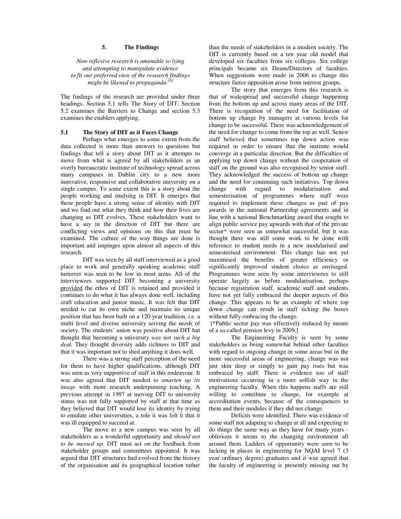# **5. The Findings**

*Non-reflexive research is amenable to lying and attempting to manipulate evidence to fit our preferred view of the research findings might be likened to propaganda.{8}*

The findings of the research are provided under three headings. Section 5.1 tells The Story of DIT. Section 5.2 examines the Barriers to Change and section 5.3 examines the enablers applying.

#### **5.1 The Story of DIT as it Faces Change**

Perhaps what emerges to some extent from the data collected is more than answers to questions but findings that tell a story about DIT as it attempts to move from what is agreed by all stakeholders as an overly bureaucratic institute of technology spread across many campuses in Dublin city to a new more innovative, responsive and collaborative university on a single campus. To some extent this is a story about the people working and studying in DIT. It emerges that these people have a strong sense of identity with DIT and we find out what they think and how their lives are changing as DIT evolves. These stakeholders want to have a say in the direction of DIT but there are conflicting views and opinions on this that must be examined. The culture of the way things are done is important and impinges upon almost all aspects of this research.

DIT was seen by all staff interviewed as a good place to work and generally speaking academic staff turnover was seen to be low in most areas. All of the interviewees supported DIT becoming a university provided the ethos of DIT is retained and provided it continues to do what it has always done well, including craft education and junior music. It was felt that DIT needed to cut its own niche and maintain its unique position that has been built on a 120 year tradition, i.e. a multi level and diverse university serving the needs of society. The students' union was positive about DIT but thought that becoming a university *was not such a big deal.* They thought diversity adds richness to DIT and that it was important not to shed anything it does well.

There was a strong staff perception of the need for them to have higher qualifications, although DIT was seen as very supportive of staff in this endeavour. It was also agreed that DIT needed to *smarten up its image* with more research underpinning teaching. A previous attempt in 1997 at moving DIT to university status was not fully supported by staff at that time as they believed that DIT would lose its identity by trying to emulate other universities, a role it was felt it that it was ill equipped to succeed at.

The move to a new campus was seen by all stakeholders as a wonderful opportunity and *should not to be messed up*. DIT must act on the feedback from stakeholder groups and committees appointed. It was argued that DIT structures had evolved from the history of the organisation and its geographical location rather than the needs of stakeholders in a modern society. The DIT is currently based on a ten year old model that developed six faculties from six colleges. Six college principals became six Deans/Directors of faculties. When suggestions were made in 2006 to change this structure fierce opposition arose from interest groups.

The story that emerges from this research is that of widespread and successful change happening from the bottom up and across many areas of the DIT. There is recognition of the need for facilitation of bottom up change by managers at various levels for change to be successful. There was acknowledgement of the need for change to come from the top as well. Senior staff believed that sometimes top down action was required in order to ensure that the institute would converge in a particular direction. But the difficulties of applying top down change without the cooperation of staff on the ground was also recognised by senior staff. They acknowledged the success of bottom up change and the need for continuing such initiatives. Top down change with regard to modularisation and semesterisation of programmes where staff were required to implement these changes as part of pay awards in the national Partnership agreements and in line with a national Benchmarking award that sought to align public service pay upwards with that of the private sector\* were seen as somewhat successful, but it was thought there was still some work to be done with reference to student needs in a new modularised and semesterised environment. This change has not yet maximised the benefits of greater efficiency or significantly improved student choice as envisaged. Programmes were seen by some interviewees to still operate largely as before modularisation, perhaps because registration staff, academic staff and students have not yet fully embraced the deeper aspects of this change. This appears to be an example of where top down change can result in staff ticking the boxes without fully embracing the change.

 [\*Public sector pay was effectively reduced by means of a so called pension levy in 2009.]

The Engineering Faculty is seen by some stakeholders as being somewhat behind other faculties with regard to ongoing change in some areas but in the more successful areas of engineering, change was not just skin deep or simply to gain pay rises but was embraced by staff. There is evidence too of staff motivations occurring in a more selfish way in the engineering faculty. When this happens staffs are still willing to contribute to change, for example at accreditation events, because of the consequences to them and their modules if they did not change.

Deficits were identified. There was evidence of some staff not adapting to change at all and expecting to do things the same way as they have for many years oblivious it seems to the changing environment all around them. Ladders of opportunity were seen to be lacking in places in engineering for NQAI level 7 (3 year ordinary degree) graduates and it was agreed that the faculty of engineering is presently missing out by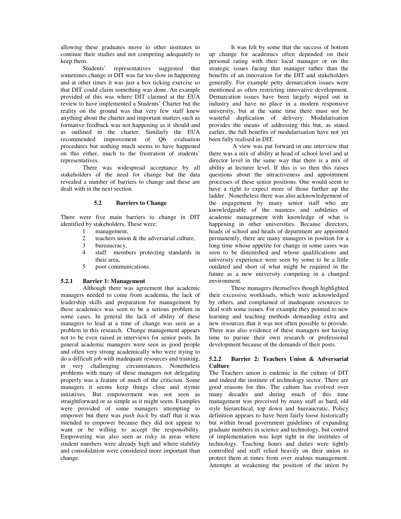allowing these graduates move to other institutes to continue their studies and not competing adequately to keep them.

Students' representatives suggested that sometimes change in DIT was far too slow in happening and at other times it was just a box ticking exercise so that DIT could claim something was done. An example provided of this was where DIT claimed at the EUA review to have implemented a Students' Charter but the reality on the ground was that very few staff knew anything about the charter and important matters such as formative feedback was not happening as it should and as outlined in the charter. Similarly the EUA recommended improvement of Q6 evaluation procedures but nothing much seems to have happened on this either, much to the frustration of students' representatives.

There was widespread acceptance by all stakeholders of the need for change but the data revealed a number of barriers to change and these are dealt with in the next section.

#### **5.2 Barriers to Change**

There were five main barriers to change in DIT identified by stakeholders. These were:

- 1 management,<br>2 teachers unior
- 2 teachers union  $&$  the adversarial culture,<br>3 bureaucracy,
- bureaucracy,
- 4 staff members protecting standards in their area,
- 5 poor communications.

# **5.2.1 Barrier 1: Management**

Although there was agreement that academic managers needed to come from academia, the lack of leadership skills and preparation for management by these academics was seen to be a serious problem in some cases. In general the lack of ability of these managers to lead at a time of change was seen as a problem in this research. Change management appears not to be even raised in interviews for senior posts. In general academic managers were seen as good people and often very strong academically who were trying to do a difficult job with inadequate resources and training, in very challenging circumstances. Nonetheless problems with many of these managers not delegating properly was a feature of much of the criticism. Some managers it seems keep things close and stymie initiatives. But empowerment was not seen as straightforward or as simple as it might seem. Examples were provided of some managers attempting to empower but there was *push back* by staff that it was intended to empower because they did not appear to want or be willing to accept the responsibility. Empowering was also seen as risky in areas where student numbers were already high and where stability and consolidation were considered more important than change.

It was felt by some that the success of bottom up change for academics often depended on their personal rating with their local manager or on the strategic issues facing that manager rather than the benefits of an innovation for the DIT and stakeholders generally. For example petty demarcation issues were mentioned as often restricting innovative development. Demarcation issues have been largely wiped out in industry and have no place in a modern responsive university, but at the same time there must not be wasteful duplication of delivery. Modularisation provides the means of addressing this but, as stated earlier, the full benefits of modularisation have not yet been fully realised in DIT.

 A view was put forward in one interview that there was a mix of ability at head of school level and at director level in the same way that there is a mix of ability at lecturer level. If this is so then this raises questions about the attractiveness and appointment processes of these senior positions. One would seem to have a right to expect more of those further up the ladder. Nonetheless there was also acknowledgement of the engagement by many senior staff who are knowledgeable of the nuances and subtleties of academic management with knowledge of what is happening in other universities. Because directors, heads of school and heads of department are appointed permanently, there are many managers in position for a long time whose appetite for change in some cases was seen to be diminished and whose qualifications and university experience were seen by some to be a little outdated and short of what might be required in the future as a new university competing in a changed environment.

These managers themselves though highlighted their excessive workloads, which were acknowledged by others, and complained of inadequate resources to deal with some issues. For example they pointed to new learning and teaching methods demanding extra and new resources that it was not often possible to provide. There was also evidence of these managers not having time to pursue their own research or professional development because of the demands of their posts.

# **5.2.2 Barrier 2: Teachers Union & Adversarial Culture**

The Teachers union is endemic in the culture of DIT and indeed the institute of technology sector. There are good reasons for this. The culture has evolved over many decades and during much of this time management was perceived by many staff as hard, old style hierarchical, top down and bureaucratic. Policy definition appears to have been fairly loose historically but within broad government guidelines of expanding graduate numbers in science and technology, but control of implementation was kept tight in the institutes of technology. Teaching hours and duties were tightly controlled and staff relied heavily on their union to protect them at times from over zealous management. Attempts at weakening the position of the union by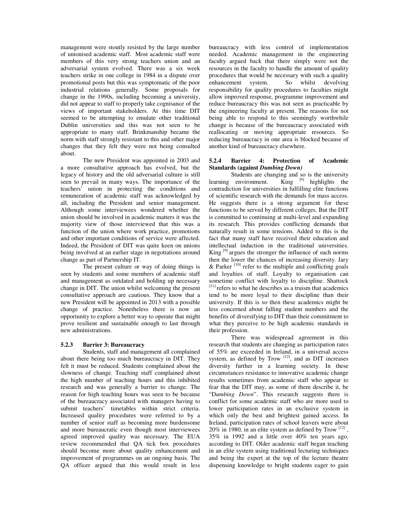management were stoutly resisted by the large number of unionised academic staff. Most academic staff were members of this very strong teachers union and an adversarial system evolved. There was a six week teachers strike in one college in 1984 in a dispute over promotional posts but this was symptomatic of the poor industrial relations generally. Some proposals for change in the 1990s, including becoming a university, did not appear to staff to properly take cognisance of the views of important stakeholders. At this time DIT seemed to be attempting to emulate other traditional Dublin universities and this was not seen to be appropriate to many staff. Brinkmanship became the norm with staff strongly resistant to this and other major changes that they felt they were not being consulted about.

The new President was appointed in 2003 and a more consultative approach has evolved, but the legacy of history and the old adversarial culture is still seen to prevail in many ways. The importance of the teachers' union in protecting the conditions and remuneration of academic staff was acknowledged by all, including the President and senior management. Although some interviewees wondered whether the union should be involved in academic matters it was the majority view of those interviewed that this was a function of the union where work practice, promotions and other important conditions of service were affected. Indeed, the President of DIT was quite keen on unions being involved at an earlier stage in negotiations around change as part of Partnership IT.

The present culture or way of doing things is seen by students and some members of academic staff and management as outdated and holding up necessary change in DIT. The union whilst welcoming the present consultative approach are cautious. They know that a new President will be appointed in 2013 with a possible change of practice. Nonetheless there is now an opportunity to explore a better way to operate that might prove resilient and sustainable enough to last through new administrations.

#### **5.2.3 Barrier 3: Bureaucracy**

Students, staff and management all complained about there being too much bureaucracy in DIT. They felt it must be reduced. Students complained about the slowness of change. Teaching staff complained about the high number of teaching hours and this inhibited research and was generally a barrier to change. The reason for high teaching hours was seen to be because of the bureaucracy associated with managers having to submit teachers' timetables within strict criteria. Increased quality procedures were referred to by a number of senior staff as becoming more burdensome and more bureaucratic even though most interviewees agreed improved quality was necessary. The EUA review recommended that QA tick box procedures should become more about quality enhancement and improvement of programmes on an ongoing basis. The QA officer argued that this would result in less bureaucracy with less control of implementation needed. Academic management in the engineering faculty argued back that there simply were not the resources in the faculty to handle the amount of quality procedures that would be necessary with such a quality enhancement system. So whilst devolving responsibility for quality procedures to faculties might allow improved response, programme improvement and reduce bureaucracy this was not seen as practicable by the engineering faculty at present. The reasons for not being able to respond to this seemingly worthwhile change is because of the bureaucracy associated with reallocating or moving appropriate resources. So reducing bureaucracy in one area is blocked because of another kind of bureaucracy elsewhere.

# **5.2.4 Barrier 4: Protection of Academic Standards (against** *Dumbing Down)*

Students are changing and so is the university learning environment. King  $[9]$  highlights the contradiction for universities in fulfilling elite functions of scientific research with the demands for mass access. He suggests there is a strong argument for these functions to be served by different colleges. But the DIT is committed to continuing at multi-level and expanding its research. This provides conflicting demands that naturally result in some tensions. Added to this is the fact that many staff have received their education and intellectual induction in the traditional universities. King  $[9]$  argues the stronger the influence of such norms then the lower the chances of increasing diversity. Jary  $\&$  Parker  $^{[10]}$  refer to the multiple and conflicting goals and loyalties of staff. Loyalty to organisation can sometime conflict with loyalty to discipline. Shattock [11] refers to what he describes as a truism that academics tend to be more loyal to their discipline than their university. If this is so then these academics might be less concerned about falling student numbers and the benefits of diversifying to DIT than their commitment to what they perceive to be high academic standards in their profession.

There was widespread agreement in this research that students are changing as participation rates of 55% are exceeded in Ireland, in a universal access system, as defined by Trow  $[12]$ , and as DIT increases diversity further in a learning society. In these circumstances resistance to innovative academic change results sometimes from academic staff who appear to fear that the DIT may, as some of them describe it, be "D*umbing Down*". This research suggests there is conflict for some academic staff who are more used to lower participation rates in an exclusive system in which only the best and brightest gained access. In Ireland, participation rates of school leavers were about 20% in 1980, in an elite system as defined by Trow  $^{[12]}$ , 35% in 1992 and a little over 40% ten years ago, according to DIT. Older academic staff began teaching in an elite system using traditional lecturing techniques and being the expert at the top of the lecture theatre dispensing knowledge to bright students eager to gain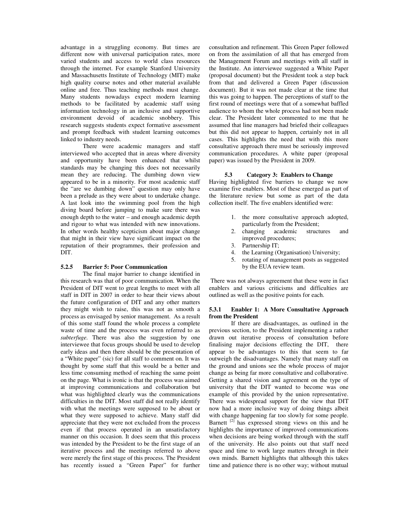advantage in a struggling economy. But times are different now with universal participation rates, more varied students and access to world class resources through the internet. For example Stanford University and Massachusetts Institute of Technology (MIT) make high quality course notes and other material available online and free. Thus teaching methods must change. Many students nowadays expect modern learning methods to be facilitated by academic staff using information technology in an inclusive and supportive environment devoid of academic snobbery. This research suggests students expect formative assessment and prompt feedback with student learning outcomes linked to industry needs.

There were academic managers and staff interviewed who accepted that in areas where diversity and opportunity have been enhanced that whilst standards may be changing this does not necessarily mean they are reducing. The dumbing down view appeared to be in a minority. For most academic staff the "are we dumbing down" question may only have been a prelude as they were about to undertake change. A last look into the swimming pool from the high diving board before jumping to make sure there was enough depth to the water – and enough academic depth and rigour to what was intended with new innovations. In other words healthy scepticism about major change that might in their view have significant impact on the reputation of their programmes, their profession and DIT.

#### **5.2.5 Barrier 5: Poor Communication**

The final major barrier to change identified in this research was that of poor communication. When the President of DIT went to great lengths to meet with all staff in DIT in 2007 in order to hear their views about the future configuration of DIT and any other matters they might wish to raise, this was not as smooth a process as envisaged by senior management. As a result of this some staff found the whole process a complete waste of time and the process was even referred to as *subterfuge.* There was also the suggestion by one interviewee that focus groups should be used to develop early ideas and then there should be the presentation of a "White paper" (sic) for all staff to comment on. It was thought by some staff that this would be a better and less time consuming method of reaching the same point on the page. What is ironic is that the process was aimed at improving communications and collaboration but what was highlighted clearly was the communications difficulties in the DIT. Most staff did not really identify with what the meetings were supposed to be about or what they were supposed to achieve. Many staff did appreciate that they were not excluded from the process even if that process operated in an unsatisfactory manner on this occasion. It does seem that this process was intended by the President to be the first stage of an iterative process and the meetings referred to above were merely the first stage of this process. The President has recently issued a "Green Paper" for further

consultation and refinement. This Green Paper followed on from the assimilation of all that has emerged from the Management Forum and meetings with all staff in the Institute. An interviewee suggested a White Paper (proposal document) but the President took a step back from that and delivered a Green Paper (discussion document). But it was not made clear at the time that this was going to happen. The perceptions of staff to the first round of meetings were that of a somewhat baffled audience to whom the whole process had not been made clear. The President later commented to me that he assumed that line managers had briefed their colleagues but this did not appear to happen, certainly not in all cases. This highlights the need that with this more consultative approach there must be seriously improved communication procedures. A white paper (proposal paper) was issued by the President in 2009.

#### **5.3 Category 3: Enablers to Change**

Having highlighted five barriers to change we now examine five enablers. Most of these emerged as part of the literature review but some as part of the data collection itself. The five enablers identified were:

- 1. the more consultative approach adopted, particularly from the President;
- 2. changing academic structures and improved procedures;
- 3. Partnership IT;
- 4. the Learning (Organisation) University;
- 5. rotating of management posts as suggested by the EUA review team.

 There was not always agreement that these were in fact enablers and various criticisms and difficulties are outlined as well as the positive points for each.

#### **5.3.1 Enabler 1: A More Consultative Approach from the President**

If there are disadvantages, as outlined in the previous section, to the President implementing a rather drawn out iterative process of consultation before finalising major decisions effecting the DIT, there appear to be advantages to this that seem to far outweigh the disadvantages. Namely that many staff on the ground and unions see the whole process of major change as being far more consultative and collaborative. Getting a shared vision and agreement on the type of university that the DIT wanted to become was one example of this provided by the union representative. There was widespread support for the view that DIT now had a more inclusive way of doing things albeit with change happening far too slowly for some people. Barnett  $\left[2\right]$  has expressed strong views on this and he highlights the importance of improved communications when decisions are being worked through with the staff of the university. He also points out that staff need space and time to work large matters through in their own minds. Barnett highlights that although this takes time and patience there is no other way; without mutual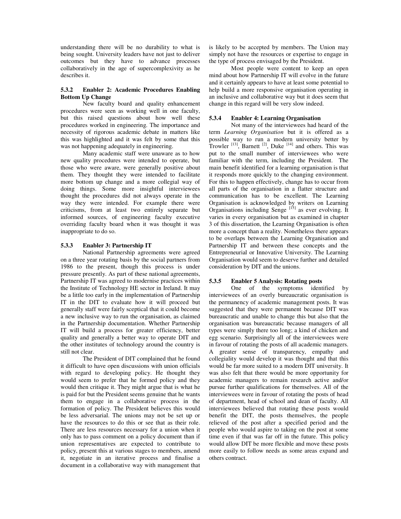understanding there will be no durability to what is being sought. University leaders have not just to deliver outcomes but they have to advance processes collaboratively in the age of supercomplexivity as he describes it.

#### **5.3.2 Enabler 2: Academic Procedures Enabling Bottom Up Change**

New faculty board and quality enhancement procedures were seen as working well in one faculty, but this raised questions about how well these procedures worked in engineering. The importance and necessity of rigorous academic debate in matters like this was highlighted and it was felt by some that this was not happening adequately in engineering.

Many academic staff were unaware as to how new quality procedures were intended to operate, but those who were aware, were generally positive about them. They thought they were intended to facilitate more bottom up change and a more collegial way of doing things. Some more insightful interviewees thought the procedures did not always operate in the way they were intended. For example there were criticisms, from at least two entirely separate but informed sources, of engineering faculty executive overriding faculty board when it was thought it was inappropriate to do so.

#### **5.3.3 Enabler 3: Partnership IT**

National Partnership agreements were agreed on a three year rotating basis by the social partners from 1986 to the present, though this process is under pressure presently. As part of these national agreements, Partnership IT was agreed to modernise practices within the Institute of Technology HE sector in Ireland. It may be a little too early in the implementation of Partnership IT in the DIT to evaluate how it will proceed but generally staff were fairly sceptical that it could become a new inclusive way to run the organisation, as claimed in the Partnership documentation. Whether Partnership IT will build a process for greater efficiency, better quality and generally a better way to operate DIT and the other institutes of technology around the country is still not clear.

The President of DIT complained that he found it difficult to have open discussions with union officials with regard to developing policy. He thought they would seem to prefer that he formed policy and they would then critique it. They might argue that is what he is paid for but the President seems genuine that he wants them to engage in a collaborative process in the formation of policy. The President believes this would be less adversarial. The unions may not be set up or have the resources to do this or see that as their role. There are less resources necessary for a union when it only has to pass comment on a policy document than if union representatives are expected to contribute to policy, present this at various stages to members, amend it, negotiate in an iterative process and finalise a document in a collaborative way with management that is likely to be accepted by members. The Union may simply not have the resources or expertise to engage in the type of process envisaged by the President.

Most people were content to keep an open mind about how Partnership IT will evolve in the future and it certainly appears to have at least some potential to help build a more responsive organisation operating in an inclusive and collaborative way but it does seem that change in this regard will be very slow indeed.

#### **5.3.4 Enabler 4: Learning Organisation**

Not many of the interviewees had heard of the term *Learning Organisation* but it is offered as a possible way to run a modern university better by Trowler  $^{[13]}$ , Barnett  $^{[2]}$ , Duke  $^{[14]}$  and others. This was put to the small number of interviewees who were familiar with the term, including the President. The main benefit identified for a learning organisation is that it responds more quickly to the changing environment. For this to happen effectively, change has to occur from all parts of the organisation in a flatter structure and communication has to be excellent. The Learning Organisation is acknowledged by writers on Learning Organisations including Senge  $[15]$  as ever evolving. It varies in every organisation but as examined in chapter 3 of this dissertation, the Learning Organisation is often more a concept than a reality. Nonetheless there appears to be overlaps between the Learning Organisation and Partnership IT and between these concepts and the Entrepreneurial or Innovative University. The Learning Organisation would seem to deserve further and detailed consideration by DIT and the unions.

# **5.3.5 Enabler 5 Analysis: Rotating posts**

One of the symptoms identified by interviewees of an overly bureaucratic organisation is the permanency of academic management posts. It was suggested that they were permanent because DIT was bureaucratic and unable to change this but also that the organisation was bureaucratic because managers of all types were simply there too long; a kind of chicken and egg scenario. Surprisingly all of the interviewees were in favour of rotating the posts of all academic managers. A greater sense of transparency, empathy and collegiality would develop it was thought and that this would be far more suited to a modern DIT university. It was also felt that there would be more opportunity for academic managers to remain research active and/or pursue further qualifications for themselves. All of the interviewees were in favour of rotating the posts of head of department, head of school and dean of faculty. All interviewees believed that rotating these posts would benefit the DIT, the posts themselves, the people relieved of the post after a specified period and the people who would aspire to taking on the post at some time even if that was far off in the future. This policy would allow DIT be more flexible and move these posts more easily to follow needs as some areas expand and others contract.